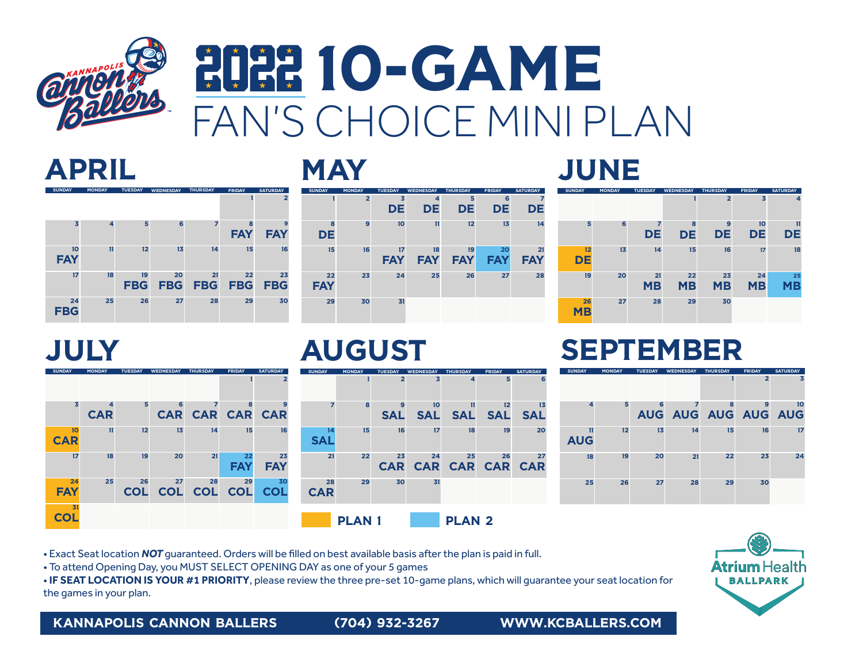

# **HIHH 10-GAME** FAN'S CHOICE MINI PLAN

### APRIL

| <b>SUNDAY</b>    | <b>MONDAY</b> | <b>TUESDAY</b><br><b>WEDNESDAY</b><br><b>THURSDAY</b> |            | <b>FRIDAY</b>  | <b>SATURDAY</b> |                |
|------------------|---------------|-------------------------------------------------------|------------|----------------|-----------------|----------------|
|                  |               |                                                       |            |                |                 | $\overline{2}$ |
| 3                | 4             | 5                                                     | 6          | $\overline{z}$ | 8               | 9              |
|                  |               |                                                       |            |                | <b>FAY</b>      | <b>FAY</b>     |
| 10<br><b>FAY</b> | 11            | 12                                                    | 13         | 14             | 15              | 16             |
| 17               | 18            | 19                                                    | 20         | 21             | 22              | 23             |
|                  |               | <b>FBG</b>                                            | <b>FBG</b> | <b>FBG</b>     | <b>FBG</b>      | <b>FBG</b>     |
| 24<br><b>FBG</b> | 25            | 26                                                    | 27         | 28             | 29              | 30             |

### **MAY**

#### 1 2 3 4 5 6 7 8 9 10 11 12 13 14 15 16 17 18 19 20 21 22 23 24 25 26 27 28 29 30 31 SUNDAY MONDAY TUESDAY WEDNESDAY THURSDAY FRIDAY SATURDAY DE DE DE DE DE **DE** FAY FAY FAY FAY FAY **FAY**

#### 1 2 3 4 5 6 7 8 9 10 11 12 13 14 15 16 17 18 19 20 21 22 23 24 25 SUNDAY MONDAY TUESDAY WEDNESDAY THURSDAY FRIDAY SATURDAY DE DE DE DE **DE** MB MB MB MB **DE** MB

### JULY



### AUGUST



### SEPTEMBER

26 27 28 29 30

JUNE

MB

| <b>SUNDAY</b>    | <b>MONDAY</b> | <b>TUESDAY</b> | <b>WEDNESDAY</b>        | <b>THURSDAY</b> | <b>FRIDAY</b>       | <b>SATURDAY</b> |
|------------------|---------------|----------------|-------------------------|-----------------|---------------------|-----------------|
|                  |               |                |                         | 1               | $\overline{2}$      | 3               |
| 4                | 5             | 6              | $\overline{\mathbf{z}}$ | 8               | 9                   | 10              |
|                  |               |                |                         |                 | AUG AUG AUG AUG AUG |                 |
| 11<br><b>AUG</b> | 12            | 13             | 14                      | 15              | 16                  | 17              |
| 18               | 19            | 20             | 21                      | 22              | 23                  | 24              |
| 25               | 26            | 27             | 28                      | 29              | 30                  |                 |

• Exact Seat location *NOT* quaranteed. Orders will be filled on best available basis after the plan is paid in full.

• To attend Opening Day, you MUST SELECT OPENING DAY as one of your 5 games

• **IF SEAT LOCATION IS YOUR #1 PRIORITY**, please review the three pre-set 10-game plans, which will guarantee your seat location for the games in your plan.

KANNAPOLIS CANNON BALLERS (704) 932-3267 WWW.KCBALLERS.COM